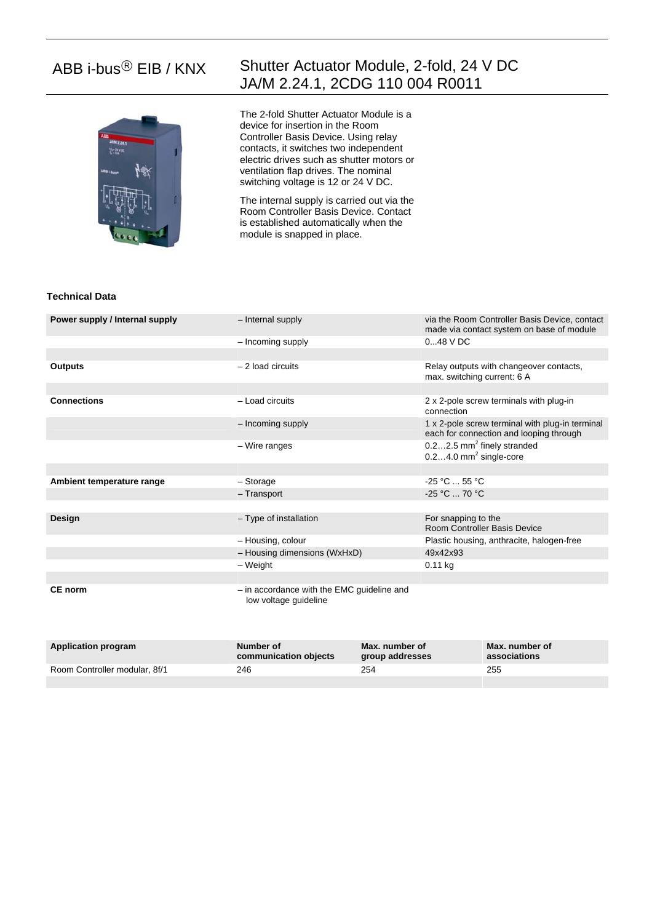

# ABB i-bus® EIB / KNX Shutter Actuator Module, 2-fold, 24 V DC JA/M 2.24.1, 2CDG 110 004 R0011

The 2-fold Shutter Actuator Module is a device for insertion in the Room Controller Basis Device. Using relay contacts, it switches two independent electric drives such as shutter motors or ventilation flap drives. The nominal switching voltage is 12 or 24 V DC.

The internal supply is carried out via the Room Controller Basis Device. Contact is established automatically when the module is snapped in place.

### **Technical Data**

| Power supply / Internal supply | - Internal supply                                                   | via the Room Controller Basis Device, contact<br>made via contact system on base of module |  |
|--------------------------------|---------------------------------------------------------------------|--------------------------------------------------------------------------------------------|--|
|                                | - Incoming supply                                                   | $048$ V DC                                                                                 |  |
|                                |                                                                     |                                                                                            |  |
| <b>Outputs</b>                 | $-2$ load circuits                                                  | Relay outputs with changeover contacts,<br>max. switching current: 6 A                     |  |
|                                |                                                                     |                                                                                            |  |
| <b>Connections</b>             | - Load circuits                                                     | 2 x 2-pole screw terminals with plug-in<br>connection                                      |  |
|                                | - Incoming supply                                                   | 1 x 2-pole screw terminal with plug-in terminal<br>each for connection and looping through |  |
|                                | - Wire ranges                                                       | $0.22.5$ mm <sup>2</sup> finely stranded<br>$0.24.0$ mm <sup>2</sup> single-core           |  |
|                                |                                                                     |                                                                                            |  |
| Ambient temperature range      | - Storage                                                           | $-25 °C$ 55 °C                                                                             |  |
|                                | - Transport                                                         | $-25 °C  70 °C$                                                                            |  |
|                                |                                                                     |                                                                                            |  |
| Design                         | - Type of installation                                              | For snapping to the<br><b>Room Controller Basis Device</b>                                 |  |
|                                | - Housing, colour                                                   | Plastic housing, anthracite, halogen-free                                                  |  |
|                                | - Housing dimensions (WxHxD)                                        | 49x42x93                                                                                   |  |
|                                | – Weight                                                            | $0.11$ kg                                                                                  |  |
|                                |                                                                     |                                                                                            |  |
| <b>CE</b> norm                 | - in accordance with the EMC guideline and<br>low voltage guideline |                                                                                            |  |

| <b>Application program</b>    | Number of<br>communication objects | Max. number of<br>group addresses | Max. number of<br>associations |
|-------------------------------|------------------------------------|-----------------------------------|--------------------------------|
| Room Controller modular, 8f/1 | 246                                | 254                               | 255                            |
|                               |                                    |                                   |                                |